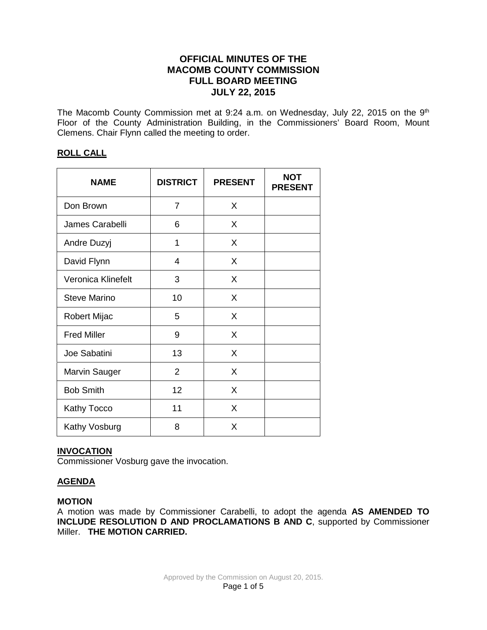# **OFFICIAL MINUTES OF THE MACOMB COUNTY COMMISSION FULL BOARD MEETING JULY 22, 2015**

The Macomb County Commission met at 9:24 a.m. on Wednesday, July 22, 2015 on the 9<sup>th</sup> Floor of the County Administration Building, in the Commissioners' Board Room, Mount Clemens. Chair Flynn called the meeting to order.

# **ROLL CALL**

| <b>NAME</b>          | <b>DISTRICT</b> | <b>PRESENT</b> | <b>NOT</b><br><b>PRESENT</b> |
|----------------------|-----------------|----------------|------------------------------|
| Don Brown            | 7               | X              |                              |
| James Carabelli      | 6               | X              |                              |
| Andre Duzyj          | 1               | X              |                              |
| David Flynn          | $\overline{4}$  | X              |                              |
| Veronica Klinefelt   | 3               | X              |                              |
| <b>Steve Marino</b>  | 10              | X              |                              |
| Robert Mijac         | 5               | X              |                              |
| <b>Fred Miller</b>   | 9               | X              |                              |
| Joe Sabatini         | 13              | X              |                              |
| <b>Marvin Sauger</b> | $\overline{2}$  | X              |                              |
| <b>Bob Smith</b>     | 12              | X              |                              |
| <b>Kathy Tocco</b>   | 11              | X              |                              |
| Kathy Vosburg        | 8               | X              |                              |

# **INVOCATION**

Commissioner Vosburg gave the invocation.

# **AGENDA**

#### **MOTION**

A motion was made by Commissioner Carabelli, to adopt the agenda **AS AMENDED TO INCLUDE RESOLUTION D AND PROCLAMATIONS B AND C**, supported by Commissioner Miller. **THE MOTION CARRIED.**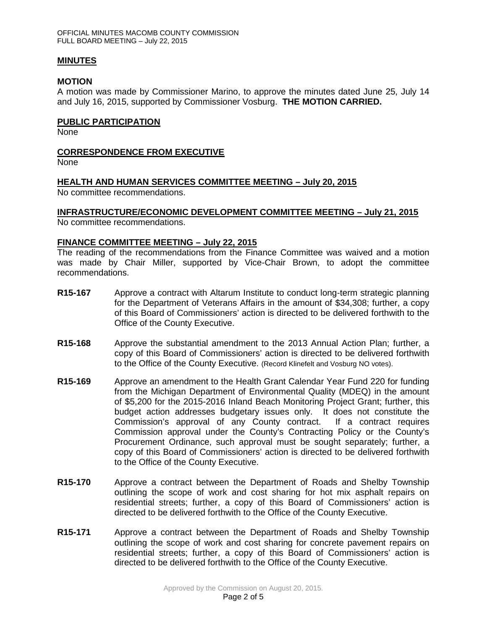### **MINUTES**

### **MOTION**

A motion was made by Commissioner Marino, to approve the minutes dated June 25, July 14 and July 16, 2015, supported by Commissioner Vosburg. **THE MOTION CARRIED.** 

### **PUBLIC PARTICIPATION**

None

# **CORRESPONDENCE FROM EXECUTIVE**

None

# **HEALTH AND HUMAN SERVICES COMMITTEE MEETING – July 20, 2015**

No committee recommendations.

# **INFRASTRUCTURE/ECONOMIC DEVELOPMENT COMMITTEE MEETING – July 21, 2015**

No committee recommendations.

### **FINANCE COMMITTEE MEETING – July 22, 2015**

The reading of the recommendations from the Finance Committee was waived and a motion was made by Chair Miller, supported by Vice-Chair Brown, to adopt the committee recommendations.

- **R15-167** Approve a contract with Altarum Institute to conduct long-term strategic planning for the Department of Veterans Affairs in the amount of \$34,308; further, a copy of this Board of Commissioners' action is directed to be delivered forthwith to the Office of the County Executive.
- **R15-168** Approve the substantial amendment to the 2013 Annual Action Plan; further, a copy of this Board of Commissioners' action is directed to be delivered forthwith to the Office of the County Executive. (Record Klinefelt and Vosburg NO votes).
- **R15-169** Approve an amendment to the Health Grant Calendar Year Fund 220 for funding from the Michigan Department of Environmental Quality (MDEQ) in the amount of \$5,200 for the 2015-2016 Inland Beach Monitoring Project Grant; further, this budget action addresses budgetary issues only. It does not constitute the Commission's approval of any County contract. If a contract requires Commission approval under the County's Contracting Policy or the County's Procurement Ordinance, such approval must be sought separately; further, a copy of this Board of Commissioners' action is directed to be delivered forthwith to the Office of the County Executive.
- **R15-170** Approve a contract between the Department of Roads and Shelby Township outlining the scope of work and cost sharing for hot mix asphalt repairs on residential streets; further, a copy of this Board of Commissioners' action is directed to be delivered forthwith to the Office of the County Executive.
- **R15-171** Approve a contract between the Department of Roads and Shelby Township outlining the scope of work and cost sharing for concrete pavement repairs on residential streets; further, a copy of this Board of Commissioners' action is directed to be delivered forthwith to the Office of the County Executive.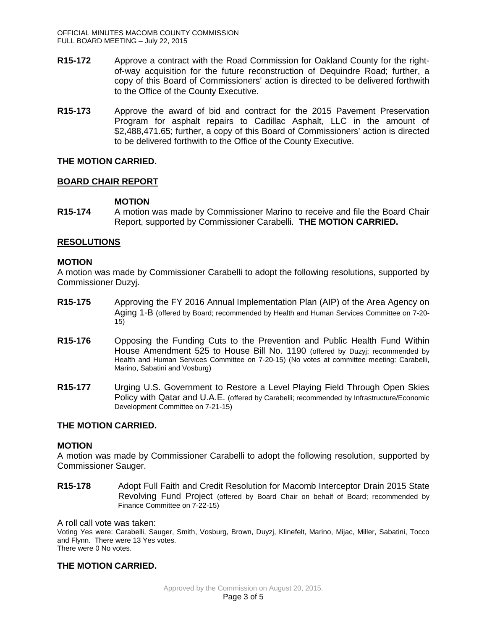- **R15-172** Approve a contract with the Road Commission for Oakland County for the rightof-way acquisition for the future reconstruction of Dequindre Road; further, a copy of this Board of Commissioners' action is directed to be delivered forthwith to the Office of the County Executive.
- **R15-173** Approve the award of bid and contract for the 2015 Pavement Preservation Program for asphalt repairs to Cadillac Asphalt, LLC in the amount of \$2,488,471.65; further, a copy of this Board of Commissioners' action is directed to be delivered forthwith to the Office of the County Executive.

### **THE MOTION CARRIED.**

### **BOARD CHAIR REPORT**

### **MOTION**

**R15-174** A motion was made by Commissioner Marino to receive and file the Board Chair Report, supported by Commissioner Carabelli. **THE MOTION CARRIED.**

### **RESOLUTIONS**

#### **MOTION**

A motion was made by Commissioner Carabelli to adopt the following resolutions, supported by Commissioner Duzyj.

- **R15-175** Approving the FY 2016 Annual Implementation Plan (AIP) of the Area Agency on Aging 1-B (offered by Board; recommended by Health and Human Services Committee on 7-20- 15)
- **R15-176** Opposing the Funding Cuts to the Prevention and Public Health Fund Within House Amendment 525 to House Bill No. 1190 (offered by Duzyj; recommended by Health and Human Services Committee on 7-20-15) (No votes at committee meeting: Carabelli, Marino, Sabatini and Vosburg)
- **R15-177** Urging U.S. Government to Restore a Level Playing Field Through Open Skies Policy with Qatar and U.A.E. (offered by Carabelli; recommended by Infrastructure/Economic Development Committee on 7-21-15)

### **THE MOTION CARRIED.**

#### **MOTION**

A motion was made by Commissioner Carabelli to adopt the following resolution, supported by Commissioner Sauger.

**R15-178** Adopt Full Faith and Credit Resolution for Macomb Interceptor Drain 2015 State Revolving Fund Project (offered by Board Chair on behalf of Board; recommended by Finance Committee on 7-22-15)

#### A roll call vote was taken:

Voting Yes were: Carabelli, Sauger, Smith, Vosburg, Brown, Duyzj, Klinefelt, Marino, Mijac, Miller, Sabatini, Tocco and Flynn. There were 13 Yes votes. There were 0 No votes.

#### **THE MOTION CARRIED.**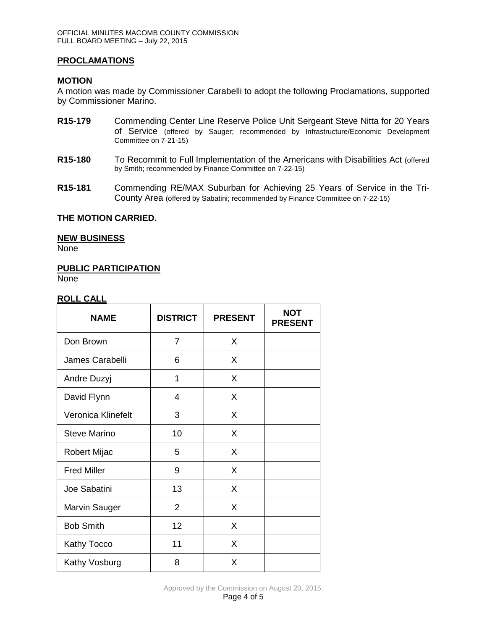# **PROCLAMATIONS**

### **MOTION**

A motion was made by Commissioner Carabelli to adopt the following Proclamations, supported by Commissioner Marino.

- **R15-179** Commending Center Line Reserve Police Unit Sergeant Steve Nitta for 20 Years of Service (offered by Sauger; recommended by Infrastructure/Economic Development Committee on 7-21-15)
- **R15-180** To Recommit to Full Implementation of the Americans with Disabilities Act (offered by Smith; recommended by Finance Committee on 7-22-15)
- **R15-181** Commending RE/MAX Suburban for Achieving 25 Years of Service in the Tri-County Area (offered by Sabatini; recommended by Finance Committee on 7-22-15)

#### **THE MOTION CARRIED.**

#### **NEW BUSINESS**

None

#### **PUBLIC PARTICIPATION**

None

#### **ROLL CALL**

| <b>NAME</b>          | <b>DISTRICT</b> | <b>PRESENT</b> | <b>NOT</b><br><b>PRESENT</b> |
|----------------------|-----------------|----------------|------------------------------|
| Don Brown            | $\overline{7}$  | X              |                              |
| James Carabelli      | 6               | X              |                              |
| Andre Duzyj          | 1               | X              |                              |
| David Flynn          | 4               | X              |                              |
| Veronica Klinefelt   | 3               | X              |                              |
| <b>Steve Marino</b>  | 10              | X              |                              |
| Robert Mijac         | 5               | X              |                              |
| <b>Fred Miller</b>   | 9               | X              |                              |
| Joe Sabatini         | 13              | X              |                              |
| <b>Marvin Sauger</b> | $\overline{2}$  | X              |                              |
| <b>Bob Smith</b>     | 12              | X              |                              |
| Kathy Tocco          | 11              | X              |                              |
| Kathy Vosburg        | 8               | X              |                              |